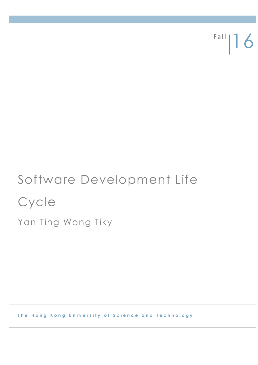Fall | 16

# Software Development Life **Cycle**

Yan Ting Wong Tiky

**The Hong Kong University of Science and Technology**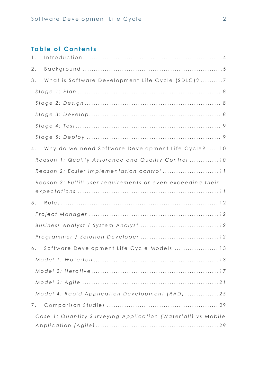# **Table of Contents**

| $1$ . |                                                              |
|-------|--------------------------------------------------------------|
| $2$ . |                                                              |
| 3.    | What is Software Development Life Cycle (SDLC)? 7            |
|       |                                                              |
|       |                                                              |
|       |                                                              |
|       |                                                              |
|       |                                                              |
| 4.    | Why do we need Software Development Life Cycle?  10          |
|       | Reason 1: Quality Assurance and Quality Control  10          |
|       | Reason 2: Easier implementation control  11                  |
|       | Reason 3: Fulfill user requirements or even exceeding their  |
| 5.    |                                                              |
|       |                                                              |
|       |                                                              |
|       |                                                              |
|       | 6. Software Development Life Cycle Models  13                |
|       |                                                              |
|       |                                                              |
|       |                                                              |
|       | Model 4: Rapid Application Development (RAD) 25              |
| 7.    |                                                              |
|       | Case 1: Quantity Surveying Application (Waterfall) vs Mobile |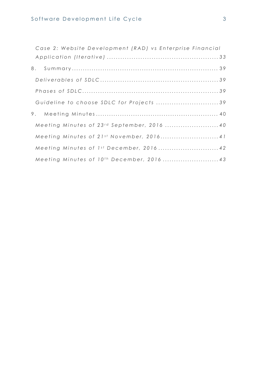| Case 2: Website Development (RAD) vs Enterprise Financial |  |
|-----------------------------------------------------------|--|
|                                                           |  |
| 8.                                                        |  |
|                                                           |  |
|                                                           |  |
| Guideline to choose SDLC for Projects 39                  |  |
|                                                           |  |
| Meeting Minutes of 23rd September, 2016  40               |  |
| Meeting Minutes of 21st November, 2016 41                 |  |
| Meeting Minutes of 1st December, 2016 42                  |  |
| Meeting Minutes of 10 <sup>th</sup> December, 2016  43    |  |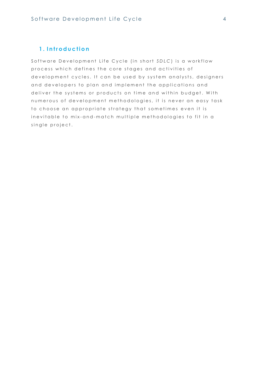## <span id="page-3-0"></span>1. Introduction

Software Development Life Cycle (in short SDLC) is a workflow process which defines the core stages and activities of development cycles. It can be used by system analysts, designers and developers to plan and implement the applications and deliver the systems or products on time and within budget. With numerous of development methodologies, it is never an easy task to choose an appropriate strategy that sometimes even it is inevitable to mix-and-match multiple methodologies to fit in a single project.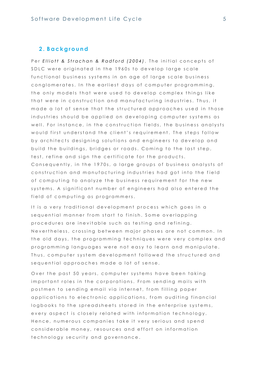## <span id="page-4-0"></span>**2 . B a c k g r o u n d**

Per *Elliott & Strachan & Radford (2004)*, The initial concepts of SDLC were originated in the 1960s to develop large scale functional business systems in an age of large scale business conglomerates. In the earliest days of computer programming, the only models that were used to develop complex things like that were in construction and manufacturing industries. Thus, it made a lot of sense that the structured approaches used in those industries should be applied on developing computer systems as well. For instance, in the construction fields, the business analysts would first understand the client's requirement. The steps follow by architects designing solutions and engineers to develop and build the buildings, bridges or roads. Coming to the last step, test, refine and sign the certificate for the products. Consequently, in the 1970s, a large groups of business analysts of construction and manufacturing industries had got into the field of computing to analyze the business requirement for the new systems. A significant number of engineers had also entered the field of computing as programmers.

It is a very traditional development process which goes in a sequential manner from start to finish. Some overlapping procedures are inevitable such as testing and refining. Nevertheless, crossing between major phases are not common. In the old days, the programming techniques were very complex and programming languages were not easy to learn and manipulate. Thus, computer system development followed the structured and sequential approaches made a lot of sense.

Over the past 50 years, computer systems have been taking important roles in the corporations. From sending mails with postmen to sending email via internet, from filling paper applications to electronic applications, from auditing financial logbooks to the spreadsheets stored in the enterprise systems, every aspect is closely related with information technology. Hence, numerous companies take it very serious and spend considerable money, resources and effort on information technology security and governance.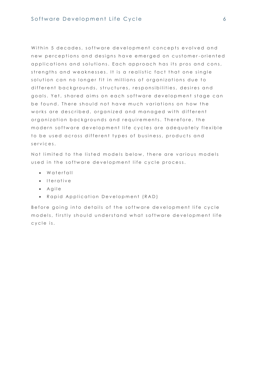Within 5 decades, software development concepts evolved and new perceptions and designs have emerged on customer-oriented applications and solutions. Each approach has its pros and cons, strengths and weaknesses. It is a realistic fact that one single solution can no longer fit in millions of organizations due to different backgrounds, structures, responsibilities, desires and goals. Yet, shared aims on each software development stage can be found. There should not have much variations on how the works are described, organized and managed with different organization backgrounds and requirements. Therefore, the modern software development life cycles are adequately flexible to be used across different types of business, products and s e r v i c e s.

Not limited to the listed models below, there are various models used in the software development life cycle process.

- $\bullet$  Waterfall
- $\bullet$  Iterative
- $\bullet$  Agile
- Rapid Application Development (RAD)

Before going into details of the software development life cycle models, firstly should understand what software development life c y c le is.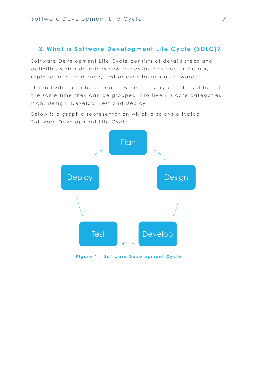## <span id="page-6-0"></span>**3. What is Software Development Life Cycle (SDLC)?**

Software Development Life Cycle consists of details steps and activities which describes how to design, develop, maintain, replace, alter, enhance, test or even launch a software.

The activities can be broken down into a very detail level but at the same time they can be grouped into five (5) core categories: Plan, Design, Develop, Test and Deploy.

Below is a graphic representation which displays a typical Software Development Life Cycle.



**Figure 1 - Software Development Cycle**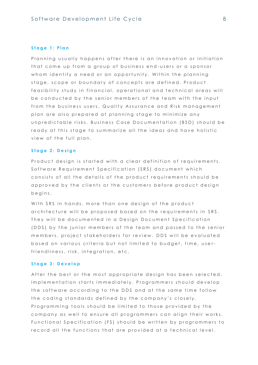#### <span id="page-7-0"></span>Stage 1: Plan

Planning usually happens after there is an innovation or initiation that come up from a group of business end-users or a sponsor whom identify a need or an opportunity. Within the planning stage, scope or boundary of concepts are defined. Product feasibility study in financial, operational and technical areas will be conducted by the senior members of the team with the input from the business users. Quality Assurance and Risk management plan are also prepared at planning stage to minimize any un predictable risks. Business Case Documentation (BSD) should be ready at this stage to summarize all the ideas and have holistic view of the full plan.

### <span id="page-7-1"></span>Stage 2: Design

Product design is started with a clear definition of requirements. Software Requirement Specification (SRS) document which consists of all the details of the product requirements should be approved by the clients or the customers before product design b e g i n s .

With SRS in hands, more than one design of the product architecture will be proposed based on the requirements in SRS. They will be documented in a Design Document Specification (DDS) by the junior members of the team and passed to the senior members, project stakeholders for review. DDS will be evaluated based on various criteria but not limited to budget, time, userfriendliness, risk, integration, etc.

#### <span id="page-7-2"></span>Stage 3: Develop

After the best or the most appropriate design has been selected, implementation starts immediately. Programmers should develop the software according to the DDS and at the same time follow the coding standards defined by the company's closely. Programming tools should be limited to those provided by the company as well to ensure all programmers can align their works. Functional Specification (FS) should be written by programmers to record all the functions that are provided at a technical level.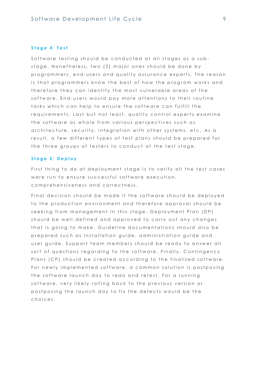#### <span id="page-8-0"></span>Stage 4: Test

Software testing should be conducted at all stages as a substage. Nonetheless, two (2) major ones should be done by programmers, end-users and quality assurance experts. The reason is that programmers know the best of how the program works and therefore they can identify the most vulnerable areas of the software. End-users would pay more attentions to their routine tasks which can help to ensure the software can fulfill the requirements. Last but not least, quality control experts examine the software as whole from various perspectives such as architecture, security, integration with other systems, etc. As a result, a few different types of test plans should be prepared for the three groups of testers to conduct at the test stage.

#### <span id="page-8-1"></span>Stage 5: Deploy

First thing to do at deployment stage is to verify all the test cases were run to ensure successful software execution, comprehensiveness and correctness.

Final decision should be made if the software should be deployed to the production environment and therefore approval should be seeking from management in this stage. Deployment Plan (DP) should be well-defined and approved to carry out any changes that is going to make. Guideline documentations should also be prepared such as Installation guide, administration guide and user guide. Support team members should be ready to answer all sort of questions regarding to the software. Finally, Contingency Plans (CP) should be created accordina to the finalized software. For newly implemented software, a common solution is postposing the software launch day to redo and retest. For a running software, very likely rolling back to the previous version or postposing the launch day to fix the defects would be the choices.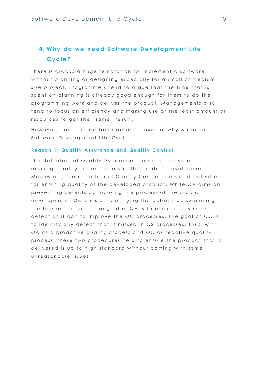# <span id="page-9-0"></span>**4. Why do we need Software Development Life C y c l e ?**

There is always a huge temptation to implement a software without planning or designing especially for a small or medium size project. Programmers tend to argue that the time that is spent on planning is already good enough for them to do the programming work and deliver the product. Manggements also tend to focus on efficiency and making use of the least amount of resources to get the "same" result.

However, there are certain reasons to explain why we need Software Development Life Cycle.

#### <span id="page-9-1"></span>**Reason 1: Quality Assurance and Quality Control**

The definition of Quality Assurance is a set of activities for ensuring quality in the process of the product development. Meanwhile, the definition of Quality Control is a set of activities for ensuring quality of the developed product. While QA aims on preventing defects by focusing the process of the product development, QC aims of identifying the defects by examining the finished product. The goal of QA is to eliminate as much defect as it can to improve the QC processes. The goal of QC is to identify any defect that is missed in QS processes. Thus, with QA as a proactive quality process and QC as reactive quality process, these two procedures help to ensure the product that is delivered is up to high standard without coming with some unreasonable issues.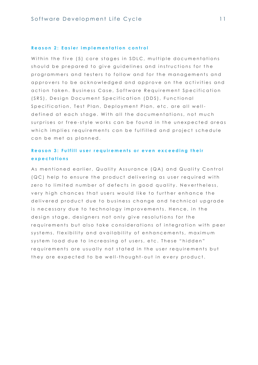#### <span id="page-10-0"></span>**Reason 2: Easier implementation control**

Within the five (5) core stages in SDLC, multiple documentations should be prepared to give guidelines and instructions for the programmers and testers to follow and for the managements and approvers to be acknowledged and approve on the activities and action taken. Business Case, Software Requirement Specification (SRS), Design Document Specification (DDS), Functional Specification, Test Plan, Deployment Plan, etc. are all welldefined at each stage. With all the documentations, not much surprises or free-style works can be found in the unexpected areas which implies requirements can be fulfilled and project schedule can be met as planned.

## <span id="page-10-1"></span>Reason 3: Fulfill user reauirements or even exceedina their **e x p e c t a t i o n s**

As mentioned earlier, Quality Assurance (QA) and Quality Control (QC) help to ensure the product delivering as user required with zero to limited number of defects in good quality. Nevertheless, very high chances that users would like to further enhance the delivered product due to business change and technical upgrade is necessary due to technology improvements. Hence, in the design stage, designers not only give resolutions for the requirements but also take considerations of integration with peer systems, flexibility and availability of enhancements, maximum system load due to increasing of users, etc. These "hidden" requirements are usually not stated in the user requirements but they are expected to be well-thought-out in every product.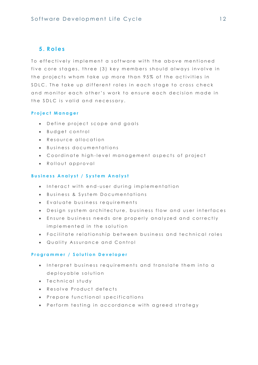## <span id="page-11-0"></span>**5 . R o l e s**

To effectively implement a software with the above mentioned five core stages, three (3) key members should always involve in the projects whom take up more than 95% of the activities in SDLC. The take up different roles in each stage to cross check and monitor each other's work to ensure each decision made in the SDLC is valid and necessary.

## <span id="page-11-1"></span>**P r o j e c t M a n a g e r**

- Define project scope and goals
- **Budget control**
- Resource allocation
- $\bullet$  Business documentations
- Coordinate high-level management aspects of project
- Rollout approval

## <span id="page-11-2"></span>**Business Analyst / System Analyst**

- $\bullet$  Interact with end-user during implementation
- Business & System Documentations
- $\bullet$  Evaluate business requirements
- Design system architecture, business flow and user interfaces
- **Ensure business needs are properly analyzed and correctly** implemented in the solution
- Facilitate relationship between business and technical roles
- Quality Assurance and Control

## <span id="page-11-3"></span>Programmer / Solution Developer

- $\bullet$  Interpret business requirements and translate them into a de plovable solution
- Technical study
- $\bullet$  Resolve Product defects
- **•** Prepare functional specifications
- Perform testing in accordance with agreed strategy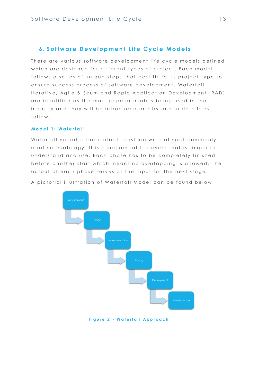## <span id="page-12-0"></span>**6. Software Development Life Cycle Models**

There are various software development life cycle models defined which are designed for different types of project. Each model follows a series of unique steps that best fit to its project type to ensure success process of software development. Waterfall, Iterative, Agile & Scum and Rapid Application Development (RAD) are identified as the most popular models being used in the industry and they will be introduced one by one in details as f ollows:

## <span id="page-12-1"></span>**M o d e l 1 : W a t e r f a l l**

Waterfall model is the earliest, best-known and most commonly used methodology. It is a sequential life cycle that is simple to understand and use. Each phase has to be completely finished before another start which means no overlapping is allowed. The output of each phase serves as the input for the next stage.

A pictorial illustration of Waterfall Model can be found below:



**Figure 2 - Waterfall Approach**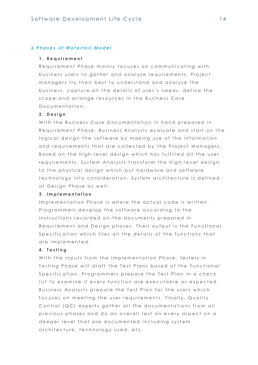#### *6 P h a s e s o f W a t e r f a l l M o d e l*

#### **1 . R e q u i r e m e n t**

Requirement Phase mainly focuses on communicating with business users to gather and analyze requirements. Project managers try their best to understand and analyze the business, capture all the details of user's needs, define the scope and arrange resources in the Business Case Documentation.

## **2 . D e s i g n**

With the Business Case Documentation in hand prepared in Requirement Phase, Business Analysts evaluate and start on the logical design the software by making use of the information and requirements that are collected by the Project Managers. Based on the high-level design which has fulfilled all the user requirements, System Analysts transform the high-level design to the physical design which put hardware and software technology into consideration. System architecture is defined at Design Phase as well.

#### **3 . I m p l e m e n t a t i o n**

Implementation Phase is where the actual code is written. Programmers develop the software according to the instructions recorded on the documents prepared in Requirement and Design phases. Their output is the Functional Specification which files all the details of the functions that are implemented.

## **4 . T e s t i n g**

With the inputs from the Implementation Phase, testers in Testing Phase will draft the Test Plans based of the Functional Specification. Programmers prepare the Test Plan in a check list to examine if every function are executable as expected. Business Analysts prepare the Test Plan for the users which focuses on meeting the user requirements. Finally, Quality Control (QC) experts gather all the documentations from all previous phases and do an overall test on every aspect on a deeper level that are documented including system architecture, technology used, etc.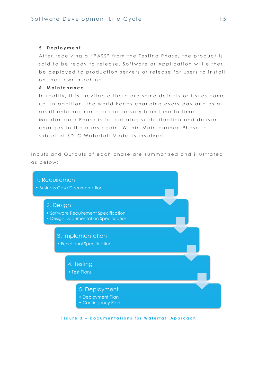## **5 . D e p l o y m e n t**

After receiving a "PASS" from the Testing Phase, the product is said to be ready to release. Software or Application will either be deployed to production servers or release for users to install on their own machine.

## **6 . M a i n t e n a n c e**

In reality, it is inevitable there are some defects or issues come up. In addition, the world keeps changing every day and as a result enhancements are necessary from time to time. Maintenance Phase is for catering such situation and deliver changes to the users again. Within Maintenance Phase, a subset of SDLC Waterfall Model is involved.

Inputs and Outputs of each phase are summarized and illustrated as below:



**Figure 3 - Documentations for Waterfall Approach**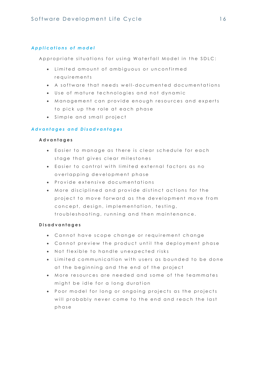## *A p p l i c a t i o n s o f m o d e l*

Appropriate situations for using Waterfall Model in the SDLC:

- $\bullet$  Limited amount of ambiguous or unconfirmed requirements
- A software that needs well-documented documentations
- Use of mature technologies and not dynamic
- $\bullet$  Management can provide enough resources and experts to pick up the role at each phase
- $\bullet$  Simple and small project

## *A d v a n t a g e s a n d D i s a d v a n t a g e s*

## **A d v a n t a g e s**

- $\bullet$  Easier to manage as there is clear schedule for each stage that gives clear milestones
- $\bullet$  Easier to control with limited external factors as no overlappina development phase
- **•** Provide extensive documentations
- $\bullet$  More disciplined and provide distinct actions for the project to move forward as the development move from concept, design, implementation, testing, troubleshooting, running and then maintenance.

## **D i s a d v a n t a g e s**

- Cannot have scope change or requirement change
- Cannot preview the product until the deployment phase
- $\bullet$  Not flexible to handle unexpected risks
- $\bullet$  Limited communication with users as bounded to be done at the beginning and the end of the project
- $\bullet$  More resources are needed and some of the teammates might be idle for a long duration
- Poor model for long or ongoing projects as the projects will probably never come to the end and reach the last phase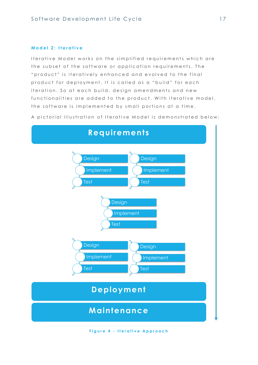## <span id="page-16-0"></span>**M o d e l 2 : I t e r a t i v e**

Iterative Model works on the simplified requirements which are the subset of the software or application requirements. The " product" is iteratively enhanced and evolved to the final product for deployment. It is called as a "build" for each iteration. So at each build, design amendments and new functionalities are added to the product. With iterative model, the software is implemented by small portions at a time.

A pictorial illustration of Iterative Model is demonstrated below:



**Figure 4 - Iterative Approach**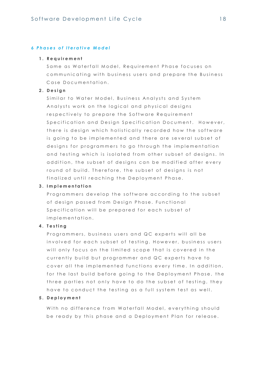## *6 P h a s e s o f I t e r a t i v e M o d e l*

#### **1 . R e q u i r e m e n t**

Same as Waterfall Model, Requirement Phase focuses on communicating with business users and prepare the Business Case Documentation.

## **2 . D e s i g n**

Similar to Water Model, Business Analysts and System Analysts work on the logical and physical designs respectively to prepare the Software Requirement Specification and Desian Specification Document. However, there is design which holistically recorded how the software is going to be implemented and there are several subset of designs for programmers to go through the implementation and testing which is isolated from other subset of designs. In addition, the subset of designs can be modified after every round of build. Therefore, the subset of designs is not finalized until reaching the Deployment Phase.

#### **3 . I m p l e m e n t a t i o n**

Programmers develop the software according to the subset of design passed from Design Phase. Functional Specification will be prepared for each subset of implementation.

#### **4 . T e s t i n g**

Programmers, business users and QC experts will all be involved for each subset of testing. However, business users will only focus on the limited scope that is covered in the currently build but programmer and QC experts have to cover all the implemented functions every time. In addition, for the last build before going to the Deployment Phase, the three parties not only have to do the subset of testing, they have to conduct the testing as a full system test as well.

### **5 . D e p l o y m e n t**

With no difference from Waterfall Model, everything should be ready by this phase and a Deployment Plan for release.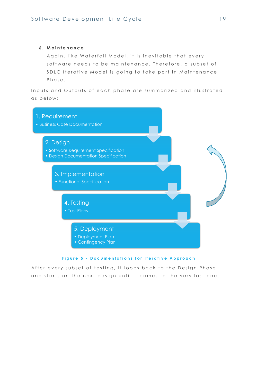## **6 . M a i n t e n a n c e**

Again, like Waterfall Model, it is inevitable that every software needs to be maintenance. Therefore, a subset of SDLC Iterative Model is going to take part in Maintenance Phase.

Inputs and Outputs of each phase are summarized and illustrated as below:



## **Figure 5 - Documentations for Iterative Approach**

After every subset of testing, it loops back to the Design Phase and starts on the next design until it comes to the very last one.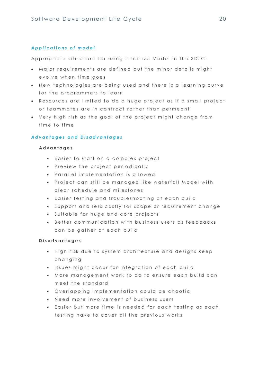## *A p p l i c a t i o n s o f m o d e l*

Appropriate situations for using Iterative Model in the SDLC:

- $\bullet$  Major requirements are defined but the minor details might evolve when time goes
- New technologies are being used and there is a learning curve for the programmers to learn
- . Resources are limited to do a huge project as if a small project or teammates are in contract rather than permeant
- Very high risk as the goal of the project might change from time to time

#### *A d v a n t a g e s a n d D i s a d v a n t a g e s*

#### **A d v a n t a g e s**

- $\bullet$  Easier to start on a complex project
- **•** Preview the project periodically
- Parallel implementation is allowed
- Project can still be managed like waterfall Model with clear schedule and milestones
- $\bullet$  Easier testing and troubleshooting at each build
- Support and less costly for scope or requirement change
- Suitable for huge and core projects
- Better communication with business users as feedbacks can be gather at each build

#### **D i s a d v a n t a g e s**

- $\bullet$  High risk due to system architecture and designs keep changing
- $\bullet$  Issues might occur for integration of each build
- $\bullet$  More management work to do to ensure each build can meet the standard
- . Overlapping implementation could be chaotic
- Need more involvement of business users
- **Easier but more time is needed for each testing as each** testing have to cover all the previous works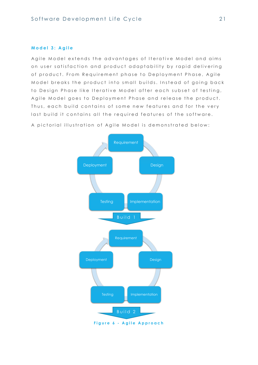## <span id="page-20-0"></span>**M o d e l 3 : A g i l e**

Agile Model extends the advantages of Iterative Model and aims on user satisfaction and product adaptability by rapid delivering of product. From Requirement phase to Deployment Phase, Agile Model breaks the product into small builds. Instead of going back to Design Phase like Iterative Model after each subset of testing, Agile Model goes to Deployment Phase and release the product. Thus, each build contains of some new features and for the very last build it contains all the required features of the software.



A pictorial illustration of Agile Model is demonstrated below: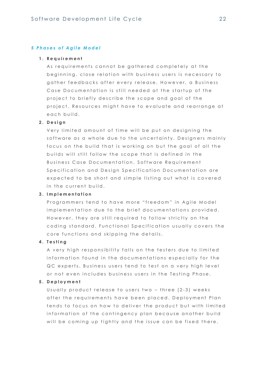#### *5 P h a s e s o f A g i l e M o d e l*

#### **1 . R e q u i r e m e n t**

As requirements cannot be gathered completely at the beginning, close relation with business users is necessary to gather feedbacks after every release. However, a Business Case Documentation is still needed at the startup of the project to briefly describe the scope and goal of the project. Resources might have to evaluate and rearrange at e a ch build.

## **2 . D e s i g n**

Very limited amount of time will be put on designing the software as a whole due to the uncertainty. Designers mainly focus on the build that is working on but the goal of all the builds will still follow the scope that is defined in the Business Case Documentation. Software Requirement Specification and Design Specification Documentation are expected to be short and simple listing out what is covered in the current build.

## **3 . I m p l e m e n t a t i o n**

Programmers tend to have more "freedom" in Agile Model implementation due to the brief documentations provided. However, they are still required to follow strictly on the coding standard. Functional Specification usually covers the core functions and skipping the details.

#### **4 . T e s t i n g**

A very high responsibility falls on the testers due to limited information found in the documentations especially for the QC experts. Business users tend to test on a very high level or not even includes business users in the Testing Phase.

## **5 . D e p l o y m e n t**

Usually product release to users two  $-$  three (2-3) weeks after the requirements have been placed. Deployment Plan tends to focus on how to deliver the product but with limited information of the contingency plan because another build will be coming up tightly and the issue can be fixed there.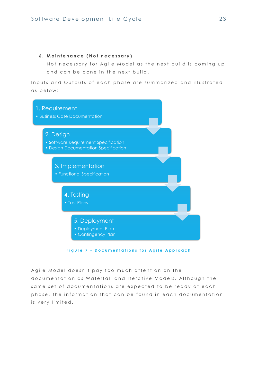## **6 . M a i n t e n a n c e ( N o t n e c e s s a r y )**

Not necessary for Agile Model as the next build is coming up and can be done in the next build.

Inputs and Outputs of each phase are summarized and illustrated as below:



**Figure 7 - Documentations for Agile Approach** 

Agile Model doesn't pay too much attention on the documentation as Waterfall and Iterative Models. Although the same set of documentations are expected to be ready at each phase, the information that can be found in each documentation is very limited.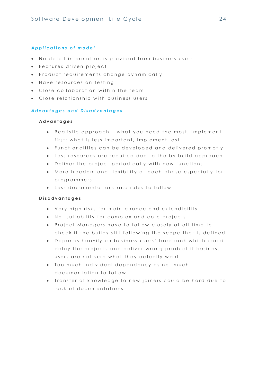## *A p p l i c a t i o n s o f m o d e l*

- No detail information is provided from business users
- Features driven project
- **•** Product requirements change dynamically
- Have resources on testing
- Close collaboration within the team
- Close relationship with business users

## *A d v a n t a g e s a n d D i s a d v a n t a g e s*

## **A d v a n t a g e s**

- Realistic approach what you need the most, implement first; what is less important, implement last
- Functionalities can be developed and delivered promptly
- Less resources are required due to the by build approach
- **.** Deliver the project periodically with new functions
- $\bullet$  More freedom and flexibility at each phase especially for programmers
- $\bullet$  Less documentations and rules to follow

## **D i s a d v a n t a g e s**

- Very high risks for maintenance and extendibility
- Not suitability for complex and core projects
- Project Managers have to follow closely at all time to check if the builds still following the scope that is defined
- Depends heavily on business users' feedback which could delay the projects and deliver wrong product if business users are not sure what they actually want
- $\bullet$  Too much individual dependency as not much documentation to follow
- . Transfer of knowledge to new joiners could be hard due to lack of documentations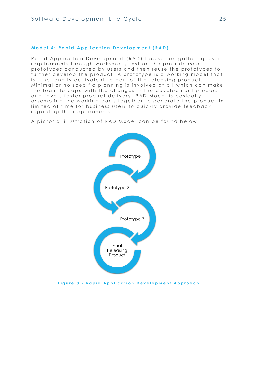## <span id="page-24-0"></span>**Model 4: Rapid Application Development (RAD)**

Rapid Application Development (RAD) focuses on gathering user requirements through workshops, test on the pre-released prototypes conducted by users and then reuse the prototypes to further develop the product. A prototype is a working model that is functionally equivalent to part of the releasing product. Minimal or no specific planning is involved at all which can make the team to cope with the changes in the development process and favors faster product delivery. RAD Model is basically assembling the working parts together to generate the product in limited of time for business users to quickly provide feedback regarding the requirements.

A pictorial illustration of RAD Model can be found below:



**Figure 8 - Rapid Application Development Approach**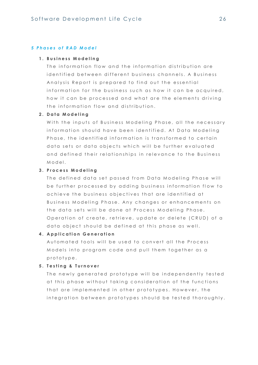## *5 P h a s e s o f R A D M o d e l*

#### **1 . B u s i n e s s M o d e l i n g**

The information flow and the information distribution are identified between different business channels. A Business Analysis Report is prepared to find out the essential information for the business such as how it can be acquired, how it can be processed and what are the elements driving the information flow and distribution.

## **2 . D a t a M o d e l i n g**

With the inputs of Business Modeling Phase, all the necessary information should have been identified. At Data Modeling Phase, the identified information is transformed to certain data sets or data objects which will be further evaluated and defined their relationships in relevance to the Business Model.

## **3 . P r o c e s s M o d e l i n g**

The defined data set passed from Data Modeling Phase will be further processed by adding business information flow to achieve the business objectives that are identified at Business Modeling Phase. Any changes or enhancements on the data sets will be done at Process Modeling Phase. Operation of create, retrieve, update or delete (CRUD) of a data object should be defined at this phase as well.

#### **4. Application Generation**

Automated tools will be used to convert all the Process Models into program code and pull them together as a prototype.

## **5 . T e s t i n g & T u r n o v e r**

The newly generated prototype will be independently tested at this phase without taking consideration of the functions that are implemented in other prototypes. However, the integration between prototypes should be tested thoroughly.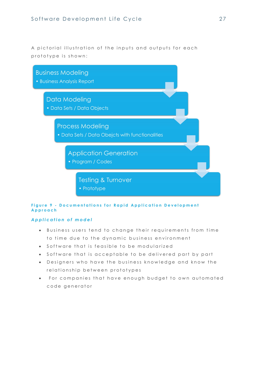A pictorial illustration of the inputs and outputs for each prototype is shown:



## **Figure 9 - Documentations for Rapid Application Development A p p r o a c h**

## *A p p l i c a t i o n o f m o d e l*

- $\bullet$  Business users tend to change their requirements from time to time due to the dynamic business environment
- $\bullet$  Software that is feasible to be modularized
- Software that is acceptable to be delivered part by part
- Designers who have the business knowledge and know the relationship between prototypes
- For companies that have enough budget to own automated code generator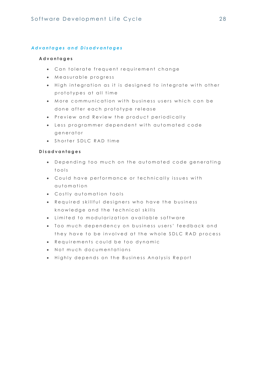## *A d v a n t a g e s a n d D i s a d v a n t a g e s*

## **A d v a n t a g e s**

- Can tolerate frequent requirement change
- $\bullet$  Measurable progress
- $\bullet$  High integration as it is designed to integrate with other prototypes at all time
- $\bullet$  More communication with business users which can be done after each prototype release
- **•** Preview and Review the product periodically
- $\bullet$  Less programmer dependent with automated code generator
- Shorter SDLC RAD time

## **D i s a d v a n t a g e s**

- Depending too much on the automated code generating t o o l s
- Could have performance or technically issues with automation
- Costly automation tools
- Required skillful designers who have the business knowledge and the technical skills
- $\bullet$  Limited to modularization available software
- Too much dependency on business users' feedback and they have to be involved at the whole SDLC RAD process
- **Requirements could be too dynamic**
- $\bullet$  Not much documentations
- $\bullet$  Highly depends on the Business Analysis Report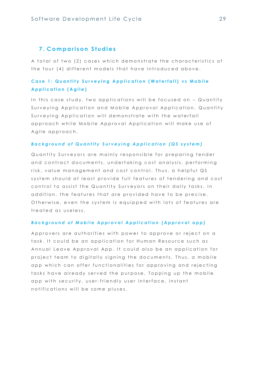## <span id="page-28-0"></span>**7 . C o m p a r i s o n S t u d i e s**

A total of two (2) cases which demonstrate the characteristics of the four (4) different models that have introduced above.

## <span id="page-28-1"></span>**Case 1: Quantity Surveying Application (Waterfall) vs Mobile A p p l i c a t i o n ( A g i l e )**

In this case study, two applications will be focused on - Quantity Surveying Application and Mobile Approval Application. Quantity Surveying Application will demonstrate with the waterfall approach while Mobile Approval Application will make use of Agile approach.

## **Background of Quantity Surveying Application (QS system)**

Quantity Surveyors are mainly responsible for preparina tender and contract documents, undertaking cost analysis, performing risk, value management and cost control. Thus, a helpful QS system should at least provide full features of tendering and cost control to assist the Quantity Surveyors on their daily tasks. In addition, the features that are provided have to be precise. Otherwise, even the system is equipped with lots of features are treated as useless.

#### *B a c k g r o u n d o f M o b i l e A p p r o v a l A p p l i c a t i o n ( A p p r o v a l a p p )*

Approvers are authorities with power to approve or reject on a task. It could be an application for Human Resource such as Annual Leave Approval App. It could also be an application for project team to digitally signing the documents. Thus, a mobile app which can offer functionalities for approving and rejecting tasks have already served the purpose. Topping up the mobile app with security, user-friendly user interface, instant n o tific ations will be some pluses.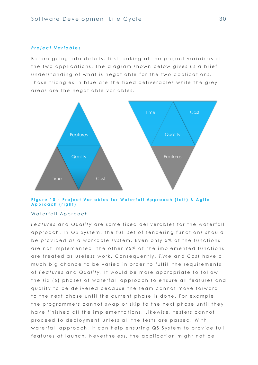#### *P r o j e c t V a r i a b l e s*

Before going into details, first looking at the project variables of the two applications. The diagram shown below gives us a brief understanding of what is negotiable for the two applications. Those triangles in blue are the fixed deliverables while the grey areas are the negotiable variables.



## Figure 10 - Project Variables for Waterfall Approach (left) & Agile **A p p r o a c h ( r i g h t )**

#### Waterfall Approach

*Features and Quality are some fixed deliverables for the waterfall* approach. In QS System, the full set of tendering functions should be provided as a workable system. Even only 5% of the functions are not implemented, the other 95% of the implemented functions are treated as useless work. Consequently, *Time* and *Cost* have a much big chance to be varied in order to fulfill the requirements of *Features* and Quality. It would be more appropriate to follow the six (6) phases of waterfall approach to ensure all features and quality to be delivered because the team cannot move forward to the next phase until the current phase is done. For example, the programmers cannot swap or skip to the next phase until they have finished all the implementations. Likewise, testers cannot proceed to deployment unless all the tests are passed. With w a t e r f all ap p roach, it can help ensuring QS System to provide full features at launch. Nevertheless, the application might not be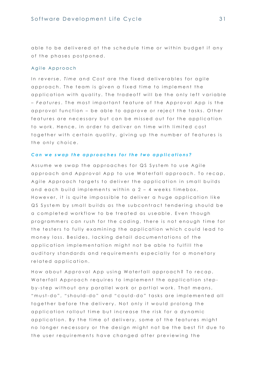able to be delivered at the schedule time or within budget if any of the phases postponed.

#### Agile Approach

In reverse, *Time* and *Cost* are the fixed deliverables for agile approach. The team is given a fixed time to implement the application with quality. The tradeoff will be the only left variable – *Features*. The most important feature of the Approval App is the approval function – be able to approve or reject the tasks. Other features are necessary but can be missed out for the application to work. Hence, in order to deliver on time with limited cost together with certain quality, giving up the number of features is the only choice.

#### Can we swap the approaches for the two applications?

Assume we swap the approaches for QS System to use Agile approach and Approval App to use Waterfall approach. To recap, Agile Approach targets to deliver the application in small builds and each build implements within a  $2 - 4$  weeks timebox. However, it is quite impossible to deliver a huge application like QS System by small builds as the subcontract tendering should be a completed workflow to be treated as useable. Even though programmers can rush for the coding, there is not enough time for the testers to fully examining the application which could lead to money loss. Besides, lacking detail documentations of the application implementation might not be able to fulfill the auditory standards and requirements especially for a monetary related application.

How about Approval App using Waterfall approach? To recap, Waterfall Approach requires to implement the application stepby-step without any parallel work or partial work. That means, " must-do", "should-do" and "could-do" tasks are implemented all together before the delivery. Not only it would prolong the application rollout time but increase the risk for a dynamic application. By the time of delivery, some of the features might no longer necessary or the design might not be the best fit due to the user requirements have changed after previewing the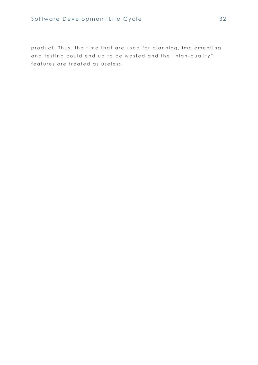# Software Development Life Cycle 32

product. Thus, the time that are used for planning, implementing and testing could end up to be wasted and the "high-quality" features are treated as useless.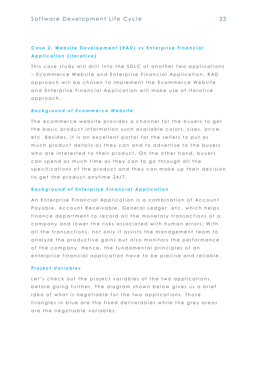## <span id="page-32-0"></span>**Case 2: Website Development (RAD) vs Enterprise Financial Application (Iterative)**

This case study will drill into the SDLC of another two applications – Ecommerce Website and Enterprise Financial Application. RAD approach will be chosen to implement the Ecommerce Website and Enterprise Financial Application will make use of Iterative a p p r o a c h .

## *B a c k g r o u n d o f E c o m m e r c e W e b s i t e*

The ecommerce website provides a channel for the buyers to get the basic product information such available colors, sizes, price, etc. Besides, it is an excellent portal for the sellers to put as much product details as they can and to advertise to the buyers who are interested to their product. On the other hand, buyers can spend as much time as they can to go through all the specifications of the product and they can make up their decision to get the product anytime 24/7.

#### **Background of Enterprise Financial Application**

An Enterprise Financial Application is a combination of Account Payable, Account Receivable, General Ledger, etc. which helps finance department to record all the monetary transactions of a company and lower the risks associated with human errors. With all the transactions, not only it assists the management team to analyze the productive gains but also monitors the performance of the company. Hence, the fundamental principles of an enterprise financial application have to be precise and reliable.

#### *P r o j e c t V a r i a b l e s*

Let's check out the project variables of the two applications before going further. The diagram shown below gives us a brief idea of what is negotiable for the two applications. Those triangles in blue are the fixed deliverables while the grey areas are the negotiable variables.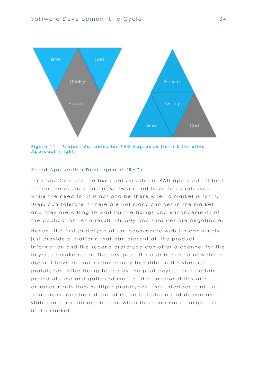

**Figure 11 - Project Variables for RAD Approach (left) & Iterative A p p r o a c h ( r i g h t )**

## Rapid Application Development (RAD)

*Time* and *Cost* are the fixed deliverables in RAD approach. It best fits for the applications or software that have to be released while the need for it is hot and be there when a market is for it. Users can tolerate if there are not many choices in the market and they are willing to wait for the fixings and enhancements of the application. As a result, Quality and Features are negotiable.

Hence, the first prototype of the ecommerce website can simply just provide a platform that can present all the product information and the second prototype can offer a channel for the buyers to make order. The design of the user interface of website doesn't have to look extraordinary beautiful in the start-up prototypes. After being tested by the pilot buyers for a certain period of time and gathered most of the functionalities and enhancements from multiple prototypes, user interface and user friendliness can be enhanced in the last phase and deliver as a stable and mature application when there are more competitors in the market.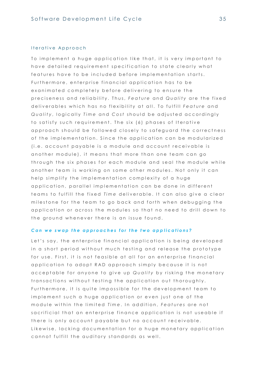#### Iterative Approach

To implement a huge application like that, it is very important to have detailed requirement specification to state clearly what features have to be included before implementation starts. Furthermore, enterprise financial application has to be exanimated completely before delivering to ensure the preciseness and reliability. Thus, Feature and Quality are the fixed deliverables which has no flexibility at all. To fulfill Feature and *Quality, logically Time and Cost should be adjusted accordingly* to satisfy such requirement. The six (6) phases of Iterative approach should be followed closely to safeguard the correctness of the implementation. Since the application can be modularized (*i.e. account payable is a module and account receivable is* another module), it means that more than one team can go through the six phases for each module and seal the module while another team is working on some other modules. Not only it can help simplify the implementation complexity of a huge application, parallel implementation can be done in different teams to fulfill the fixed *Time* deliverable. It can also give a clear milestone for the team to go back and forth when debugging the application or across the modules so that no need to drill down to the ground whenever there is an issue found.

#### *Can we swap the approaches for the two applications?*

Let's say, the enterprise financial application is being developed in a short period without much testing and release the prototype for use. First, it is not feasible at all for an enterprise financial application to adopt RAD approach simply because it is not acceptable for anyone to give up *Quality* by risking the monetary transactions without testing the application out thoroughly. Furthermore, it is quite impossible for the development team to implement such a huge application or even just one of the module within the limited *Time*. In addition, *Features* are not s a crificial that an enterprise finance application is not useable if there is only account payable but no account receivable. Likewise, lacking documentation for a huge monetary application cannot fulfill the auditory standards as well.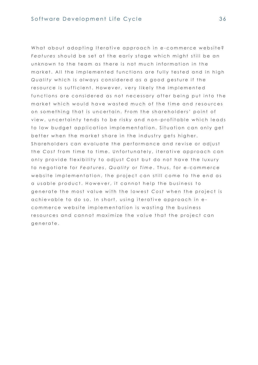What about adopting Iterative approach in e-commerce website? Features should be set at the early stage which might still be an unknown to the team as there is not much information in the market. All the implemented functions are fully tested and in high *Quality* which is always considered as a good gesture if the resource is sufficient. However, very likely the implemented functions are considered as not necessary after being put into the market which would have wasted much of the time and resources on something that is uncertain. From the shareholders' point of view, uncertainty tends to be risky and non-profitable which leads to low budget application implementation. Situation can only get better when the market share in the industry gets higher. Shareholders can evaluate the performance and revise or adjust the *Cost* from time to time. Unfortunately, iterative approach can only provide flexibility to adjust Cost but do not have the luxury to negotiate for *Features*, Quality or Time. Thus, for e-commerce website implementation, the project can still come to the end as a usable product. However, it cannot help the business to generate the most value with the lowest Cost when the project is achievable to do so. In short, using iterative approach in ecommerce website implementation is wasting the business resources and cannot maximize the value that the project can generate.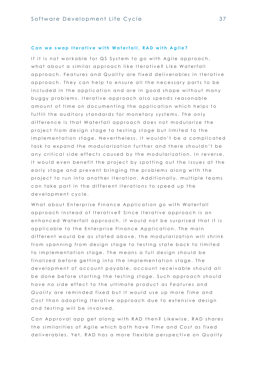#### Can we swap Iterative with Waterfall, RAD with Agile?

If it is not workable for QS System to go with Agile approach, what about a similar approach like Iterative? Like Waterfall approach, Features and Quality are fixed deliverables in Iterative approach. They can help to ensure all the necessary parts to be included in the application and are in good shape without many buggy problems. Iterative approach also spends reasonable amount of time on documenting the application which helps to fulfill the auditory standards for monetary systems. The only difference is that Waterfall approach does not modularize the project from design stage to testing stage but limited to the implementation stage. Nevertheless, it wouldn't be a complicated task to expand the modularization further and there shouldn't be any critical side effects caused by the modularization. In reverse, it would even benefit the project by spotting out the issues at the early stage and prevent bringing the problems along with the project to run into another iteration. Additionally, multiple teams can take part in the different iterations to speed up the development cycle.

What about Enterprise Finance Application go with Waterfall approach instead of Iterative? Since Iterative approach is an enhanced Waterfall approach, it would not be surprised that it is applicable to the Enterprise Finance Application. The main different would be as stated above, the modularization will shrink from spanning from design stage to testing state back to limited to implementation stage. The means a full design should be finalized before getting into the implementation stage. The development of account payable, account receivable should all be done before starting the testing stage. Such approach should have no side effect to the ultimate product as *Features* and *Quality* are reminded fixed but it would use up more *Time* and *Cost* than adopting Iterative approach due to extensive design and testing will be involved.

Can Approval app get along with RAD then? Likewise, RAD shares the similarities of Agile which both have *Time* and Cost as fixed deliverables. Yet, RAD has a more flexible perspective on *Quality*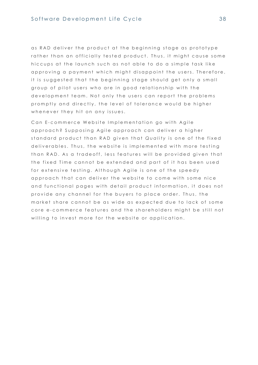as RAD deliver the product at the beginning stage as prototype rather than an officially tested product. Thus, it might cause some hiccups at the launch such as not able to do a simple task like approving a payment which might disappoint the users. Therefore, it is suggested that the beginning stage should get only a small group of pilot users who are in good relationship with the development team. Not only the users can report the problems promptly and directly, the level of tolerance would be higher whenever they hit on any issues.

Can E-commerce Website Implementation ao with Aaile approach? Supposing Agile approach can deliver a higher standard product than RAD given that Quality is one of the fixed deliverables. Thus, the website is implemented with more testing than RAD. As a tradeoff, less features will be provided given that the fixed Time cannot be extended and part of it has been used for extensive testing. Although Agile is one of the speedy approach that can deliver the website to come with some nice and functional pages with detail product information, it does not provide any channel for the buyers to place order. Thus, the market share cannot be as wide as expected due to lack of some core e-commerce features and the shareholders might be still not willing to invest more for the website or application.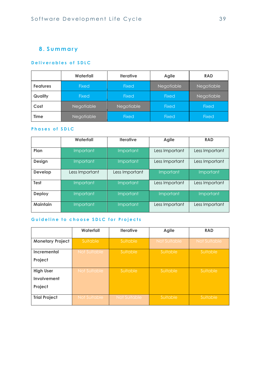# <span id="page-38-0"></span>**8 . S u m m a r y**

## <span id="page-38-1"></span>**Deliverables of SDLC**

|                 | Waterfall    | <b>Iterative</b> | <b>Agile</b>      | <b>RAD</b>   |
|-----------------|--------------|------------------|-------------------|--------------|
| <b>Features</b> | <b>Fixed</b> | <b>Fixed</b>     | <b>Negotiable</b> | Negotiable   |
| Quality         | <b>Fixed</b> | <b>Fixed</b>     | <b>Fixed</b>      | Negotiable   |
| Cost            | Negotiable   | Negotiable       | <b>Fixed</b>      | <b>Fixed</b> |
| <b>Time</b>     | Negotiable   | <b>Fixed</b>     | <b>Fixed</b>      | Fixed        |

## <span id="page-38-2"></span>**Phases of SDLC**

|                 | Waterfall        | <b>Iterative</b> | <b>Agile</b>   | <b>RAD</b>     |
|-----------------|------------------|------------------|----------------|----------------|
| Plan            | Important        | Important        | Less Important | Less Important |
| <b>Design</b>   | <b>Important</b> | Important        | Less Important | Less Important |
| <b>Develop</b>  | Less Important   | Less Important   | Important      | Important      |
| <b>Test</b>     | Important        | Important        | Less Important | Less Important |
| <b>Deploy</b>   | Important        | Important        | Important      | Important      |
| <b>Maintain</b> | <b>Important</b> | Important        | Less Important | Less Important |

## <span id="page-38-3"></span>Guideline to choose SDLC for Projects

|                         | Waterfall    | <b>Iterative</b> | <b>Agile</b>        | <b>RAD</b>   |
|-------------------------|--------------|------------------|---------------------|--------------|
| <b>Monetary Project</b> | Suitable     | Suitable         | <b>Not Suitable</b> | Not Suitable |
| <b>Incremental</b>      | Not Suitable | Suitable         | Suitable            | Suitable,    |
| Project                 |              |                  |                     |              |
| <b>High User</b>        | Not Suitable | Suitable         | Suitable            | Suitable     |
| Involvement             |              |                  |                     |              |
| Project                 |              |                  |                     |              |
| <b>Trial Project</b>    | Not Suitable | Not Suitable     | Suitable            | Suitable     |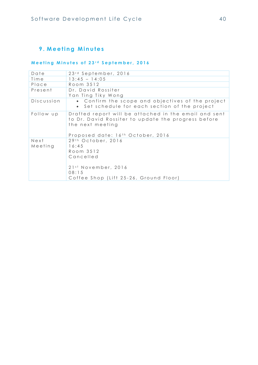# <span id="page-39-0"></span>**9.** Meeting Minutes

# <span id="page-39-1"></span>Meeting Minutes of 23<sup>rd</sup> September, 2016

| Date            | 23 <sup>rd</sup> September, 2016                                                                                                                                      |
|-----------------|-----------------------------------------------------------------------------------------------------------------------------------------------------------------------|
| Time            | $13:45 - 14:05$                                                                                                                                                       |
| Place           | Room 3512                                                                                                                                                             |
| Present         | Dr. David Rossiter<br>Yan Ting Tiky Wong                                                                                                                              |
| Discussion      | • Confirm the scope and objectives of the project<br>Set schedule for each section of the project<br>$\bullet$                                                        |
| Follow up       | Drafted report will be attached in the email and sent<br>to Dr. David Rossiter to update the progress before<br>the next meeting<br>Proposed date: 16th October, 2016 |
| Next<br>Meeting | 29th October, 2016<br>16:45<br>Room 3512<br>Cancelled<br>21 <sup>st</sup> November, 2016<br>08:15<br>Coffee Shop (Lift 25-26, Ground Floor)                           |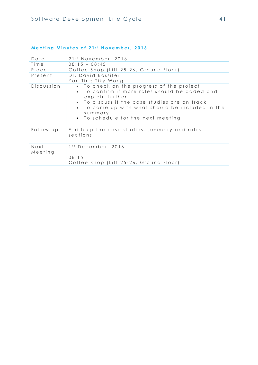| Date            | 21 <sup>st</sup> November, 2016                                                                                                                                                                                                                                            |
|-----------------|----------------------------------------------------------------------------------------------------------------------------------------------------------------------------------------------------------------------------------------------------------------------------|
| Time            | $08:15 - 08:45$                                                                                                                                                                                                                                                            |
| Place           | Coffee Shop (Lift 25-26, Ground Floor)                                                                                                                                                                                                                                     |
| Present         | Dr. David Rossiter<br>Yan Ting Tiky Wong                                                                                                                                                                                                                                   |
| Discussion      | • To check on the progress of the project<br>• To confirm if more roles should be added and<br>explain further<br>• To discuss if the case studies are on track<br>• To come up with what should be included in the<br>$s$ u m m ary<br>• To schedule for the next meeting |
| Follow up       | Finish up the case studies, summary and roles<br>sections                                                                                                                                                                                                                  |
| Next<br>Meeting | 1 <sup>st</sup> December, 2016<br>08:15<br>Coffee Shop (Lift 25-26, Ground Floor)                                                                                                                                                                                          |

## <span id="page-40-0"></span>**Meeting Minutes of 21st November, 2016**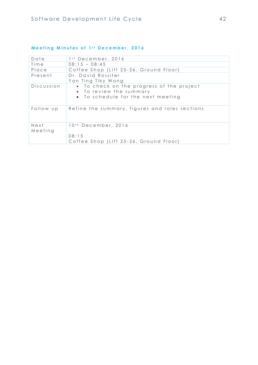| Date            | 1 <sup>st</sup> December, 2016                                                                             |
|-----------------|------------------------------------------------------------------------------------------------------------|
| Time            | $08:15 - 08:45$                                                                                            |
| Place           | Coffee Shop (Lift 25-26, Ground Floor)                                                                     |
| Present         | Dr. David Rossiter<br>Yan Ting Tiky Wong                                                                   |
| Discussion      | • To check on the progress of the project<br>• To review the summary<br>• To schedule for the next meeting |
| Follow up       | Refine the summary, figures and roles sections                                                             |
| Next<br>Meeting | 10 <sup>th</sup> December, 2016<br>08:15<br>Coffee Shop (Lift 25-26, Ground Floor)                         |

## <span id="page-41-0"></span>**Meeting Minutes of 1st December, 2016**